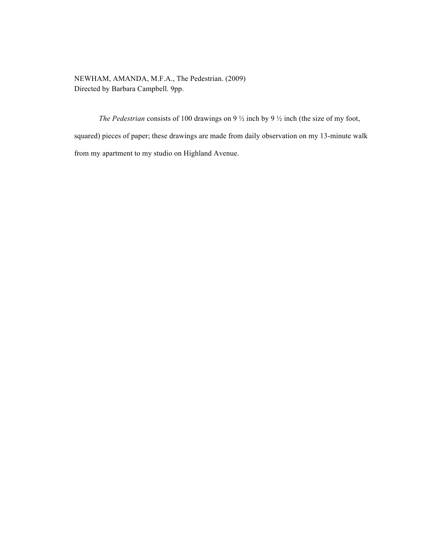NEWHAM, AMANDA, M.F.A., The Pedestrian. (2009) Directed by Barbara Campbell. 9pp.

*The Pedestrian* consists of 100 drawings on 9  $\frac{1}{2}$  inch by 9  $\frac{1}{2}$  inch (the size of my foot, squared) pieces of paper; these drawings are made from daily observation on my 13-minute walk from my apartment to my studio on Highland Avenue.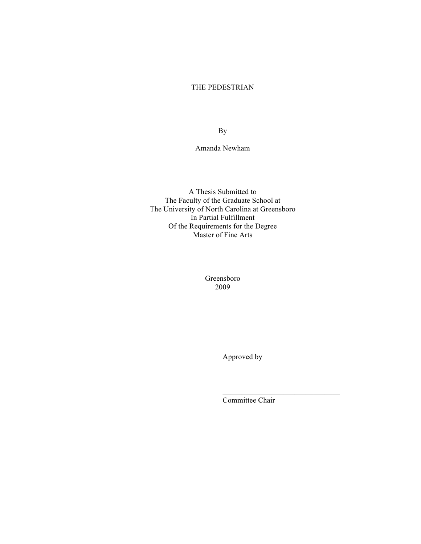## THE PEDESTRIAN

By

Amanda Newham

A Thesis Submitted to The Faculty of the Graduate School at The University of North Carolina at Greensboro In Partial Fulfillment Of the Requirements for the Degree Master of Fine Arts

> Greensboro 2009

> > Approved by

Committee Chair

 $\mathcal{L}_\text{max}$  and  $\mathcal{L}_\text{max}$  and  $\mathcal{L}_\text{max}$  and  $\mathcal{L}_\text{max}$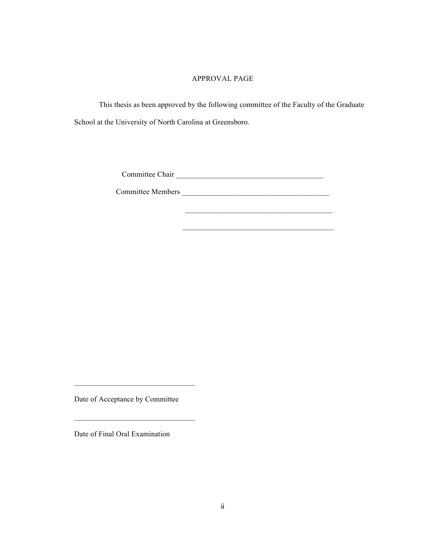### APPROVAL PAGE

This thesis as been approved by the following committee of the Faculty of the Graduate School at the University of North Carolina at Greensboro.

Committee Chair \_\_\_\_\_\_\_\_\_\_\_\_\_\_\_\_\_\_\_\_\_\_\_\_\_\_\_\_\_\_\_\_\_\_\_\_\_\_\_

Committee Members \_\_\_\_\_\_\_\_\_\_\_\_\_\_\_\_\_\_\_\_\_\_\_\_\_\_\_\_\_\_\_\_\_\_\_\_\_\_\_

 $\frac{1}{2}$  ,  $\frac{1}{2}$  ,  $\frac{1}{2}$  ,  $\frac{1}{2}$  ,  $\frac{1}{2}$  ,  $\frac{1}{2}$  ,  $\frac{1}{2}$  ,  $\frac{1}{2}$  ,  $\frac{1}{2}$  ,  $\frac{1}{2}$  ,  $\frac{1}{2}$  ,  $\frac{1}{2}$  ,  $\frac{1}{2}$  ,  $\frac{1}{2}$  ,  $\frac{1}{2}$  ,  $\frac{1}{2}$  ,  $\frac{1}{2}$  ,  $\frac{1}{2}$  ,  $\frac{1$ 

Date of Acceptance by Committee

 $\mathcal{L}_\text{max}$  and  $\mathcal{L}_\text{max}$  and  $\mathcal{L}_\text{max}$  and  $\mathcal{L}_\text{max}$ 

Date of Final Oral Examination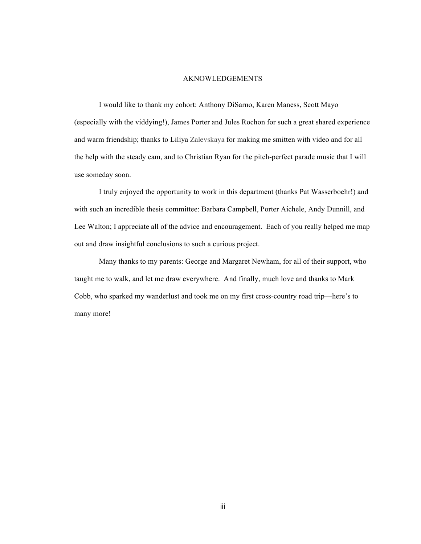#### AKNOWLEDGEMENTS

I would like to thank my cohort: Anthony DiSarno, Karen Maness, Scott Mayo (especially with the viddying!), James Porter and Jules Rochon for such a great shared experience and warm friendship; thanks to Liliya Zalevskaya for making me smitten with video and for all the help with the steady cam, and to Christian Ryan for the pitch-perfect parade music that I will use someday soon.

I truly enjoyed the opportunity to work in this department (thanks Pat Wasserboehr!) and with such an incredible thesis committee: Barbara Campbell, Porter Aichele, Andy Dunnill, and Lee Walton; I appreciate all of the advice and encouragement. Each of you really helped me map out and draw insightful conclusions to such a curious project.

Many thanks to my parents: George and Margaret Newham, for all of their support, who taught me to walk, and let me draw everywhere. And finally, much love and thanks to Mark Cobb, who sparked my wanderlust and took me on my first cross-country road trip—here's to many more!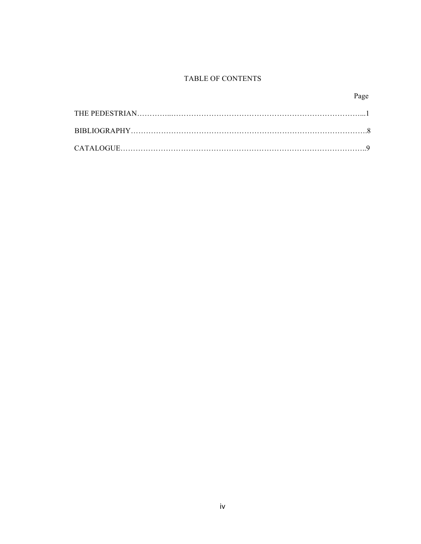# TABLE OF CONTENTS

# Page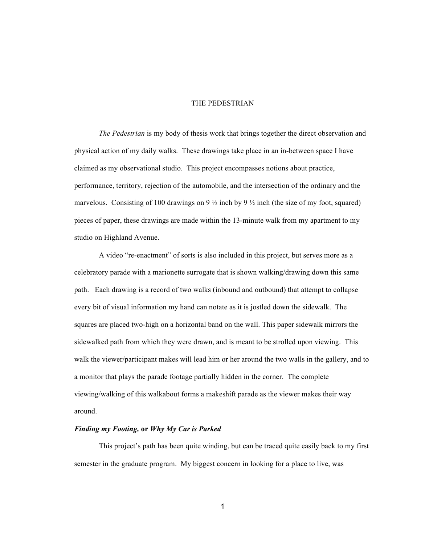### THE PEDESTRIAN

*The Pedestrian* is my body of thesis work that brings together the direct observation and physical action of my daily walks. These drawings take place in an in-between space I have claimed as my observational studio. This project encompasses notions about practice, performance, territory, rejection of the automobile, and the intersection of the ordinary and the marvelous. Consisting of 100 drawings on 9  $\frac{1}{2}$  inch by 9  $\frac{1}{2}$  inch (the size of my foot, squared) pieces of paper, these drawings are made within the 13-minute walk from my apartment to my studio on Highland Avenue.

A video "re-enactment" of sorts is also included in this project, but serves more as a celebratory parade with a marionette surrogate that is shown walking/drawing down this same path. Each drawing is a record of two walks (inbound and outbound) that attempt to collapse every bit of visual information my hand can notate as it is jostled down the sidewalk. The squares are placed two-high on a horizontal band on the wall. This paper sidewalk mirrors the sidewalked path from which they were drawn, and is meant to be strolled upon viewing. This walk the viewer/participant makes will lead him or her around the two walls in the gallery, and to a monitor that plays the parade footage partially hidden in the corner. The complete viewing/walking of this walkabout forms a makeshift parade as the viewer makes their way around.

#### *Finding my Footing,* **or** *Why My Car is Parked*

This project's path has been quite winding, but can be traced quite easily back to my first semester in the graduate program. My biggest concern in looking for a place to live, was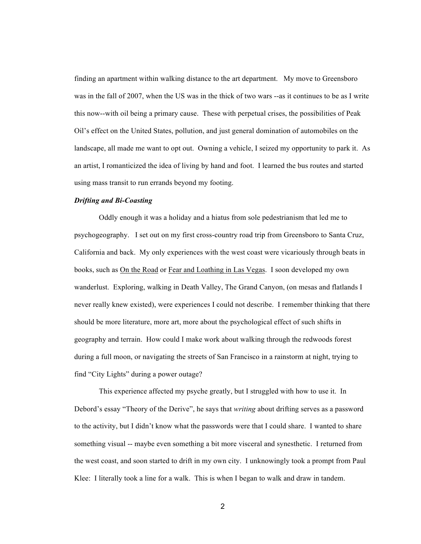finding an apartment within walking distance to the art department. My move to Greensboro was in the fall of 2007, when the US was in the thick of two wars --as it continues to be as I write this now--with oil being a primary cause. These with perpetual crises, the possibilities of Peak Oil's effect on the United States, pollution, and just general domination of automobiles on the landscape, all made me want to opt out. Owning a vehicle, I seized my opportunity to park it. As an artist, I romanticized the idea of living by hand and foot. I learned the bus routes and started using mass transit to run errands beyond my footing.

#### *Drifting and Bi-Coasting*

Oddly enough it was a holiday and a hiatus from sole pedestrianism that led me to psychogeography. I set out on my first cross-country road trip from Greensboro to Santa Cruz, California and back. My only experiences with the west coast were vicariously through beats in books, such as On the Road or Fear and Loathing in Las Vegas. I soon developed my own wanderlust. Exploring, walking in Death Valley, The Grand Canyon, (on mesas and flatlands I never really knew existed), were experiences I could not describe. I remember thinking that there should be more literature, more art, more about the psychological effect of such shifts in geography and terrain. How could I make work about walking through the redwoods forest during a full moon, or navigating the streets of San Francisco in a rainstorm at night, trying to find "City Lights" during a power outage?

This experience affected my psyche greatly, but I struggled with how to use it. In Debord's essay "Theory of the Derive", he says that *writing* about drifting serves as a password to the activity, but I didn't know what the passwords were that I could share. I wanted to share something visual -- maybe even something a bit more visceral and synesthetic. I returned from the west coast, and soon started to drift in my own city. I unknowingly took a prompt from Paul Klee: I literally took a line for a walk. This is when I began to walk and draw in tandem.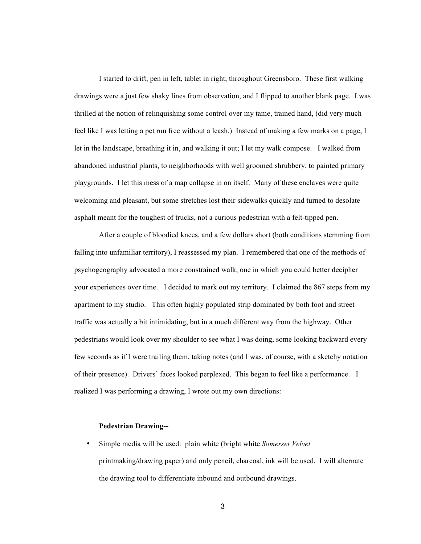I started to drift, pen in left, tablet in right, throughout Greensboro. These first walking drawings were a just few shaky lines from observation, and I flipped to another blank page. I was thrilled at the notion of relinquishing some control over my tame, trained hand, (did very much feel like I was letting a pet run free without a leash.) Instead of making a few marks on a page, I let in the landscape, breathing it in, and walking it out; I let my walk compose. I walked from abandoned industrial plants, to neighborhoods with well groomed shrubbery, to painted primary playgrounds. I let this mess of a map collapse in on itself. Many of these enclaves were quite welcoming and pleasant, but some stretches lost their sidewalks quickly and turned to desolate asphalt meant for the toughest of trucks, not a curious pedestrian with a felt-tipped pen.

After a couple of bloodied knees, and a few dollars short (both conditions stemming from falling into unfamiliar territory), I reassessed my plan. I remembered that one of the methods of psychogeography advocated a more constrained walk, one in which you could better decipher your experiences over time. I decided to mark out my territory. I claimed the 867 steps from my apartment to my studio. This often highly populated strip dominated by both foot and street traffic was actually a bit intimidating, but in a much different way from the highway. Other pedestrians would look over my shoulder to see what I was doing, some looking backward every few seconds as if I were trailing them, taking notes (and I was, of course, with a sketchy notation of their presence). Drivers' faces looked perplexed. This began to feel like a performance. I realized I was performing a drawing, I wrote out my own directions:

#### **Pedestrian Drawing--**

• Simple media will be used: plain white (bright white *Somerset Velvet* printmaking/drawing paper) and only pencil, charcoal, ink will be used. I will alternate the drawing tool to differentiate inbound and outbound drawings.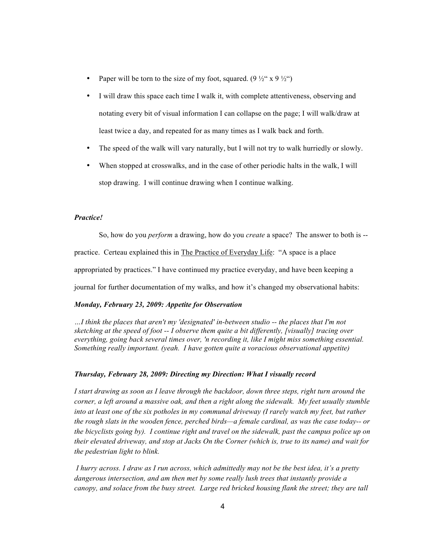- Paper will be torn to the size of my foot, squared. (9  $\frac{1}{2}$  x 9  $\frac{1}{2}$   $\cdot$ )
- I will draw this space each time I walk it, with complete attentiveness, observing and notating every bit of visual information I can collapse on the page; I will walk/draw at least twice a day, and repeated for as many times as I walk back and forth.
- The speed of the walk will vary naturally, but I will not try to walk hurriedly or slowly.
- When stopped at crosswalks, and in the case of other periodic halts in the walk, I will stop drawing. I will continue drawing when I continue walking.

#### *Practice!*

So, how do you *perform* a drawing, how do you *create* a space? The answer to both is - practice. Certeau explained this in **The Practice of Everyday Life**: "A space is a place appropriated by practices." I have continued my practice everyday, and have been keeping a journal for further documentation of my walks, and how it's changed my observational habits:

### *Monday, February 23, 2009: Appetite for Observation*

*…I think the places that aren't my 'designated' in-between studio -- the places that I'm not sketching at the speed of foot -- I observe them quite a bit differently, [visually] tracing over everything, going back several times over, 'n recording it, like I might miss something essential. Something really important. (yeah. I have gotten quite a voracious observational appetite)*

### *Thursday, February 28, 2009: Directing my Direction: What I visually record*

*I start drawing as soon as I leave through the backdoor, down three steps, right turn around the corner, a left around a massive oak, and then a right along the sidewalk. My feet usually stumble into at least one of the six potholes in my communal driveway (I rarely watch my feet, but rather the rough slats in the wooden fence, perched birds—a female cardinal, as was the case today-- or the bicyclists going by). I continue right and travel on the sidewalk, past the campus police up on their elevated driveway, and stop at Jacks On the Corner (which is, true to its name) and wait for the pedestrian light to blink.* 

 *I hurry across. I draw as I run across, which admittedly may not be the best idea, it's a pretty dangerous intersection, and am then met by some really lush trees that instantly provide a canopy, and solace from the busy street. Large red bricked housing flank the street; they are tall*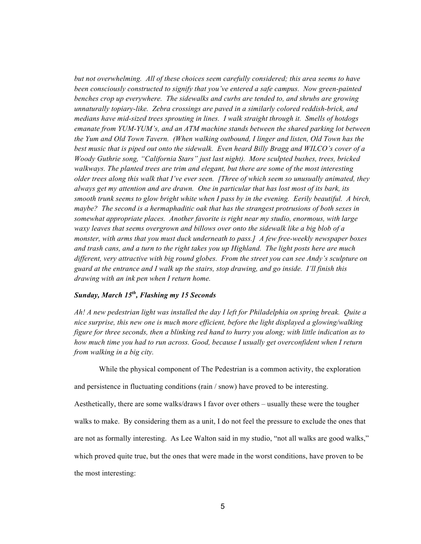*but not overwhelming. All of these choices seem carefully considered; this area seems to have been consciously constructed to signify that you've entered a safe campus. Now green-painted benches crop up everywhere. The sidewalks and curbs are tended to, and shrubs are growing unnaturally topiary-like. Zebra crossings are paved in a similarly colored reddish-brick, and medians have mid-sized trees sprouting in lines. I walk straight through it. Smells of hotdogs emanate from YUM-YUM's, and an ATM machine stands between the shared parking lot between the Yum and Old Town Tavern. (When walking outbound, I linger and listen, Old Town has the best music that is piped out onto the sidewalk. Even heard Billy Bragg and WILCO's cover of a Woody Guthrie song, "California Stars" just last night). More sculpted bushes, trees, bricked walkways. The planted trees are trim and elegant, but there are some of the most interesting older trees along this walk that I've ever seen. [Three of which seem so unusually animated, they always get my attention and are drawn. One in particular that has lost most of its bark, its smooth trunk seems to glow bright white when I pass by in the evening. Eerily beautiful. A birch, maybe? The second is a hermaphaditic oak that has the strangest protrusions of both sexes in somewhat appropriate places. Another favorite is right near my studio, enormous, with large waxy leaves that seems overgrown and billows over onto the sidewalk like a big blob of a monster, with arms that you must duck underneath to pass.] A few free-weekly newspaper boxes and trash cans, and a turn to the right takes you up Highland. The light posts here are much different, very attractive with big round globes. From the street you can see Andy's sculpture on guard at the entrance and I walk up the stairs, stop drawing, and go inside. I'll finish this drawing with an ink pen when I return home.*

# *Sunday, March 15th, Flashing my 15 Seconds*

*Ah! A new pedestrian light was installed the day I left for Philadelphia on spring break. Quite a nice surprise, this new one is much more efficient, before the light displayed a glowing/walking figure for three seconds, then a blinking red hand to hurry you along; with little indication as to how much time you had to run across. Good, because I usually get overconfident when I return from walking in a big city.* 

While the physical component of The Pedestrian is a common activity, the exploration

and persistence in fluctuating conditions (rain / snow) have proved to be interesting.

Aesthetically, there are some walks/draws I favor over others – usually these were the tougher walks to make. By considering them as a unit, I do not feel the pressure to exclude the ones that are not as formally interesting. As Lee Walton said in my studio, "not all walks are good walks," which proved quite true, but the ones that were made in the worst conditions, have proven to be the most interesting: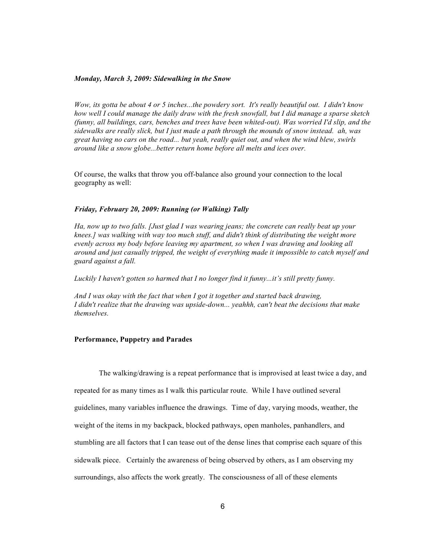#### *Monday, March 3, 2009: Sidewalking in the Snow*

*Wow, its gotta be about 4 or 5 inches...the powdery sort. It's really beautiful out. I didn't know how well I could manage the daily draw with the fresh snowfall, but I did manage a sparse sketch (funny, all buildings, cars, benches and trees have been whited-out). Was worried I'd slip, and the sidewalks are really slick, but I just made a path through the mounds of snow instead. ah, was great having no cars on the road... but yeah, really quiet out, and when the wind blew, swirls around like a snow globe...better return home before all melts and ices over.*

Of course, the walks that throw you off-balance also ground your connection to the local geography as well:

#### *Friday, February 20, 2009: Running (or Walking) Tally*

*Ha, now up to two falls. [Just glad I was wearing jeans; the concrete can really beat up your knees.] was walking with way too much stuff, and didn't think of distributing the weight more evenly across my body before leaving my apartment, so when I was drawing and looking all around and just casually tripped, the weight of everything made it impossible to catch myself and guard against a fall.* 

Luckily I haven't gotten so harmed that I no longer find it funny...it's still pretty funny.

*And I was okay with the fact that when I got it together and started back drawing, I didn't realize that the drawing was upside-down... yeahhh, can't beat the decisions that make themselves.*

#### **Performance, Puppetry and Parades**

The walking/drawing is a repeat performance that is improvised at least twice a day, and repeated for as many times as I walk this particular route. While I have outlined several guidelines, many variables influence the drawings. Time of day, varying moods, weather, the weight of the items in my backpack, blocked pathways, open manholes, panhandlers, and stumbling are all factors that I can tease out of the dense lines that comprise each square of this sidewalk piece. Certainly the awareness of being observed by others, as I am observing my surroundings, also affects the work greatly. The consciousness of all of these elements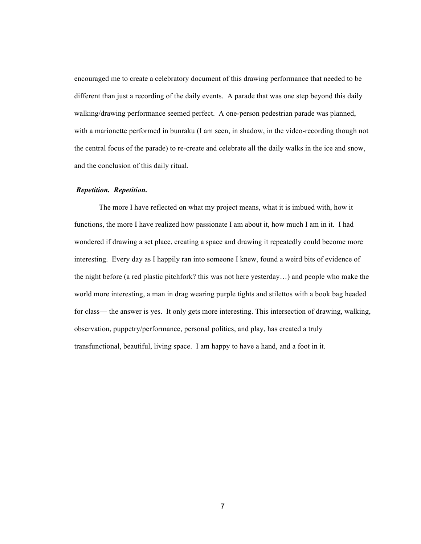encouraged me to create a celebratory document of this drawing performance that needed to be different than just a recording of the daily events. A parade that was one step beyond this daily walking/drawing performance seemed perfect. A one-person pedestrian parade was planned, with a marionette performed in bunraku (I am seen, in shadow, in the video-recording though not the central focus of the parade) to re-create and celebrate all the daily walks in the ice and snow, and the conclusion of this daily ritual.

### *Repetition. Repetition.*

The more I have reflected on what my project means, what it is imbued with, how it functions, the more I have realized how passionate I am about it, how much I am in it. I had wondered if drawing a set place, creating a space and drawing it repeatedly could become more interesting. Every day as I happily ran into someone I knew, found a weird bits of evidence of the night before (a red plastic pitchfork? this was not here yesterday…) and people who make the world more interesting, a man in drag wearing purple tights and stilettos with a book bag headed for class— the answer is yes. It only gets more interesting. This intersection of drawing, walking, observation, puppetry/performance, personal politics, and play, has created a truly transfunctional, beautiful, living space. I am happy to have a hand, and a foot in it.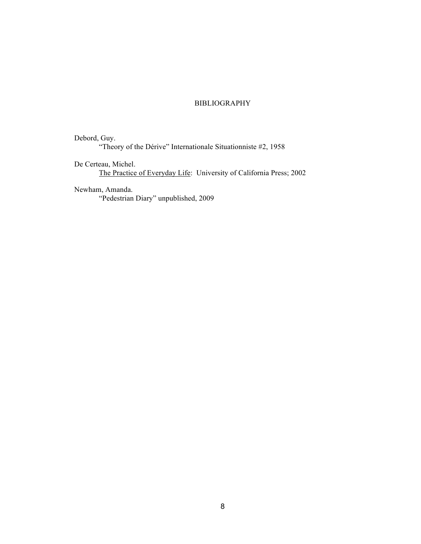# **BIBLIOGRAPHY**

Debord, Guy. "Theory of the Dérive" Internationale Situationniste #2, 1958

De Certeau, Michel. The Practice of Everyday Life: University of California Press; 2002

Newham, Amanda.

"Pedestrian Diary" unpublished, 2009